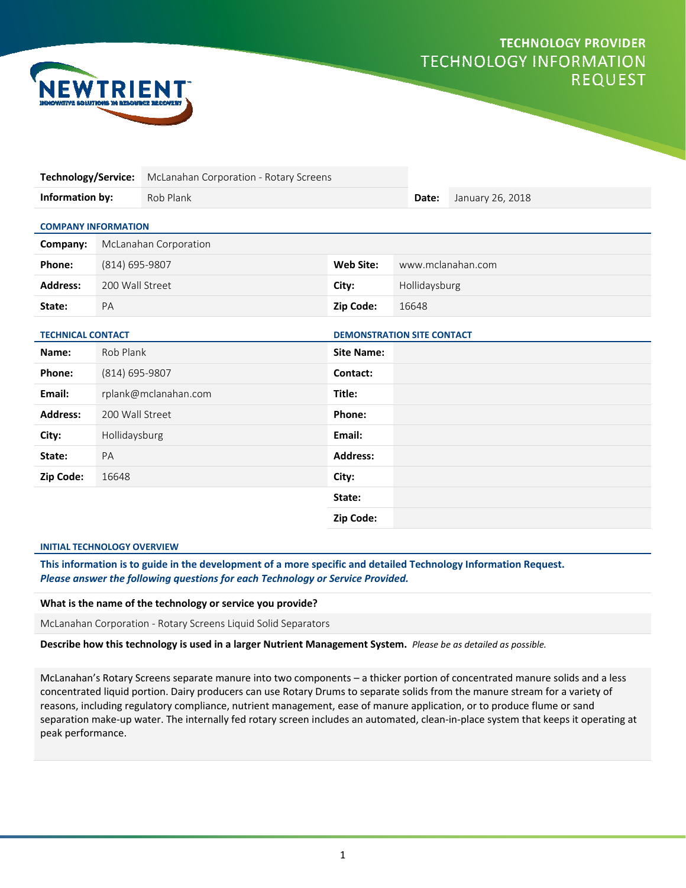# **TECHNOLOGY PROVIDER TECHNOLOGY INFORMATION REQUEST**



| <b>Technology/Service:</b> |                 | McLanahan Corporation - Rotary Screens |                   |       |                  |                   |
|----------------------------|-----------------|----------------------------------------|-------------------|-------|------------------|-------------------|
| Information by:            |                 | Rob Plank                              |                   | Date: | January 26, 2018 |                   |
| <b>COMPANY INFORMATION</b> |                 |                                        |                   |       |                  |                   |
| Company:                   |                 | McLanahan Corporation                  |                   |       |                  |                   |
| Phone:                     | (814) 695-9807  |                                        | <b>Web Site:</b>  |       |                  | www.mclanahan.com |
| <b>Address:</b>            | 200 Wall Street |                                        | City:             |       | Hollidaysburg    |                   |
| State:                     | PA              |                                        | Zip Code:         |       | 16648            |                   |
| <b>TECHNICAL CONTACT</b>   |                 | <b>DEMONSTRATION SITE CONTACT</b>      |                   |       |                  |                   |
| Name:                      | Rob Plank       |                                        | <b>Site Name:</b> |       |                  |                   |
| Phone:                     | (814) 695-9807  |                                        | Contact:          |       |                  |                   |
| Email:                     |                 | rplank@mclanahan.com                   | Title:            |       |                  |                   |
| <b>Address:</b>            | 200 Wall Street |                                        | Phone:            |       |                  |                   |
| City:                      | Hollidaysburg   |                                        | Email:            |       |                  |                   |
| State:                     | PA              |                                        | <b>Address:</b>   |       |                  |                   |
| Zip Code:                  | 16648           |                                        | City:             |       |                  |                   |
|                            |                 |                                        | State:            |       |                  |                   |
|                            |                 |                                        | Zip Code:         |       |                  |                   |

### **INITIAL TECHNOLOGY OVERVIEW**

**This information is to guide in the development of a more specific and detailed Technology Information Request.**  *Please answer the following questions for each Technology or Service Provided.*

**What is the name of the technology or service you provide?** 

McLanahan Corporation ‐ Rotary Screens Liquid Solid Separators

Describe how this technology is used in a larger Nutrient Management System. Please be as detailed as possible.

McLanahan's Rotary Screens separate manure into two components – a thicker portion of concentrated manure solids and a less concentrated liquid portion. Dairy producers can use Rotary Drums to separate solids from the manure stream for a variety of reasons, including regulatory compliance, nutrient management, ease of manure application, or to produce flume or sand separation make‐up water. The internally fed rotary screen includes an automated, clean‐in‐place system that keeps it operating at peak performance.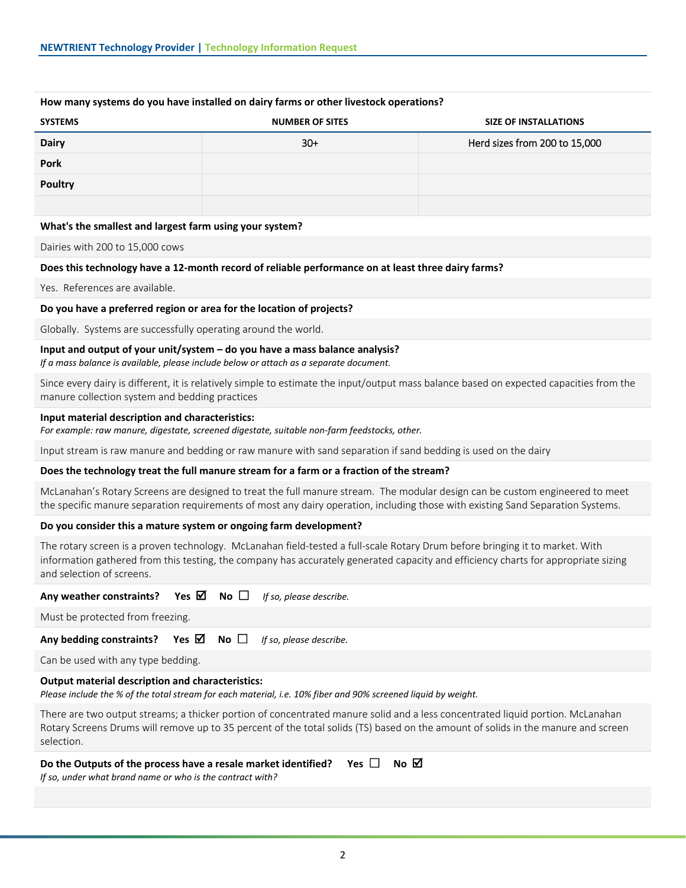| <b>SYSTEMS</b> | <b>NUMBER OF SITES</b> | <b>SIZE OF INSTALLATIONS</b>  |  |  |
|----------------|------------------------|-------------------------------|--|--|
| <b>Dairy</b>   | $30+$                  | Herd sizes from 200 to 15,000 |  |  |
| Pork           |                        |                               |  |  |
| <b>Poultry</b> |                        |                               |  |  |
|                |                        |                               |  |  |

## **How many systems do you have installed on dairy farms or other livestock operations?**

### **What's the smallest and largest farm using your system?**

Dairies with 200 to 15,000 cows

### **Does this technology have a 12‐month record of reliable performance on at least three dairy farms?**

Yes. References are available.

### **Do you have a preferred region or area for the location of projects?**

Globally. Systems are successfully operating around the world.

# **Input and output of your unit/system – do you have a mass balance analysis?**

*If a mass balance is available, please include below or attach as a separate document.*

Since every dairy is different, it is relatively simple to estimate the input/output mass balance based on expected capacities from the manure collection system and bedding practices

### **Input material description and characteristics:**

*For example: raw manure, digestate, screened digestate, suitable non‐farm feedstocks, other.*

Input stream is raw manure and bedding or raw manure with sand separation if sand bedding is used on the dairy

### **Does the technology treat the full manure stream for a farm or a fraction of the stream?**

McLanahan's Rotary Screens are designed to treat the full manure stream. The modular design can be custom engineered to meet the specific manure separation requirements of most any dairy operation, including those with existing Sand Separation Systems.

### **Do you consider this a mature system or ongoing farm development?**

The rotary screen is a proven technology. McLanahan field‐tested a full‐scale Rotary Drum before bringing it to market. With information gathered from this testing, the company has accurately generated capacity and efficiency charts for appropriate sizing and selection of screens.

**Any weather constraints? Yes No** ☐*If so, please describe.*

Must be protected from freezing.

**Any bedding constraints? Yes No** ☐*If so, please describe.*

Can be used with any type bedding.

### **Output material description and characteristics:**

*Please include the % of the total stream for each material, i.e. 10% fiber and 90% screened liquid by weight.*

There are two output streams; a thicker portion of concentrated manure solid and a less concentrated liquid portion. McLanahan Rotary Screens Drums will remove up to 35 percent of the total solids (TS) based on the amount of solids in the manure and screen selection.

# **Do the Outputs of the process have a resale market identified? Yes** ☐ **No**

*If so, under what brand name or who is the contract with?*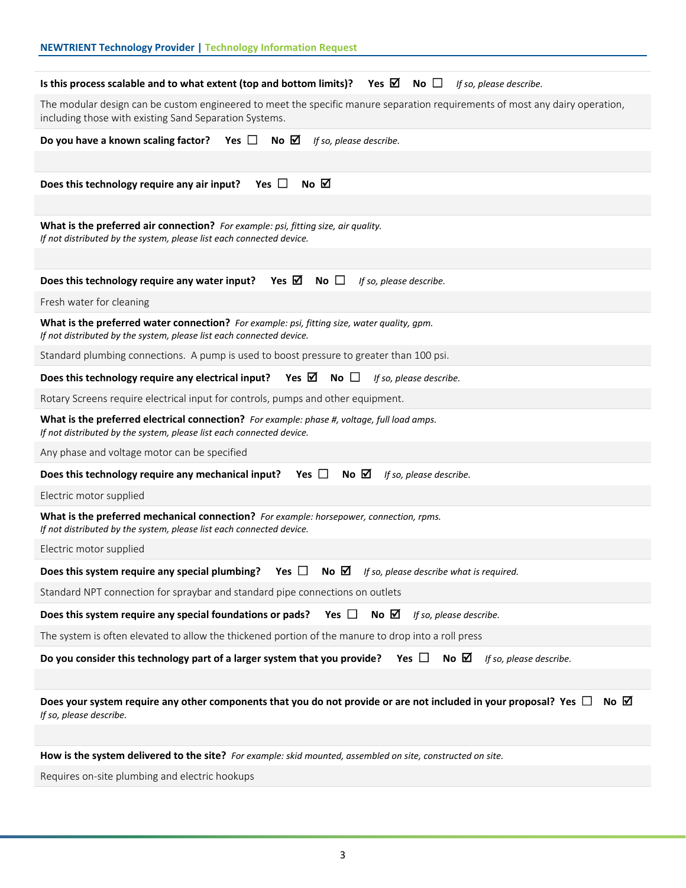| Is this process scalable and to what extent (top and bottom limits)? Yes $\boxtimes$ No $\Box$ If so, please describe.                                                                 |
|----------------------------------------------------------------------------------------------------------------------------------------------------------------------------------------|
| The modular design can be custom engineered to meet the specific manure separation requirements of most any dairy operation,<br>including those with existing Sand Separation Systems. |
| No $\boxtimes$<br>Do you have a known scaling factor? Yes $\Box$<br>If so, please describe.                                                                                            |
|                                                                                                                                                                                        |
| No $\boxtimes$<br>Does this technology require any air input?<br>Yes $\Box$                                                                                                            |
|                                                                                                                                                                                        |
| What is the preferred air connection? For example: psi, fitting size, air quality.<br>If not distributed by the system, please list each connected device.                             |
| Yes $\boxtimes$ No $\Box$<br>Does this technology require any water input?<br>If so, please describe.                                                                                  |
| Fresh water for cleaning                                                                                                                                                               |
| What is the preferred water connection? For example: psi, fitting size, water quality, gpm.<br>If not distributed by the system, please list each connected device.                    |
| Standard plumbing connections. A pump is used to boost pressure to greater than 100 psi.                                                                                               |
| Does this technology require any electrical input? Yes $\boxtimes$<br>No $\square$<br>If so, please describe.                                                                          |
| Rotary Screens require electrical input for controls, pumps and other equipment.                                                                                                       |
| What is the preferred electrical connection? For example: phase #, voltage, full load amps.<br>If not distributed by the system, please list each connected device.                    |
| Any phase and voltage motor can be specified                                                                                                                                           |
| Yes $\Box$<br>No $\boxtimes$<br>Does this technology require any mechanical input?<br>If so, please describe.                                                                          |
| Electric motor supplied                                                                                                                                                                |
| What is the preferred mechanical connection? For example: horsepower, connection, rpms.<br>If not distributed by the system, please list each connected device.                        |
| Electric motor supplied                                                                                                                                                                |
| Does this system require any special plumbing? Yes $\Box$ No $\boxtimes$ If so, please describe what is required.                                                                      |
| Standard NPT connection for spraybar and standard pipe connections on outlets                                                                                                          |
| Does this system require any special foundations or pads? Yes $\Box$ No $\boxtimes$<br>If so, please describe.                                                                         |
| The system is often elevated to allow the thickened portion of the manure to drop into a roll press                                                                                    |
| Do you consider this technology part of a larger system that you provide? Yes $\Box$<br>No $\boxtimes$<br>If so, please describe.                                                      |
|                                                                                                                                                                                        |
| Does your system require any other components that you do not provide or are not included in your proposal? Yes $\Box$<br>No $\boxtimes$<br>If so, please describe.                    |
|                                                                                                                                                                                        |
| How is the system delivered to the site? For example: skid mounted, assembled on site, constructed on site.                                                                            |
|                                                                                                                                                                                        |

Requires on‐site plumbing and electric hookups

# **NEWTRIENT Technology Provider | Technology Information Request**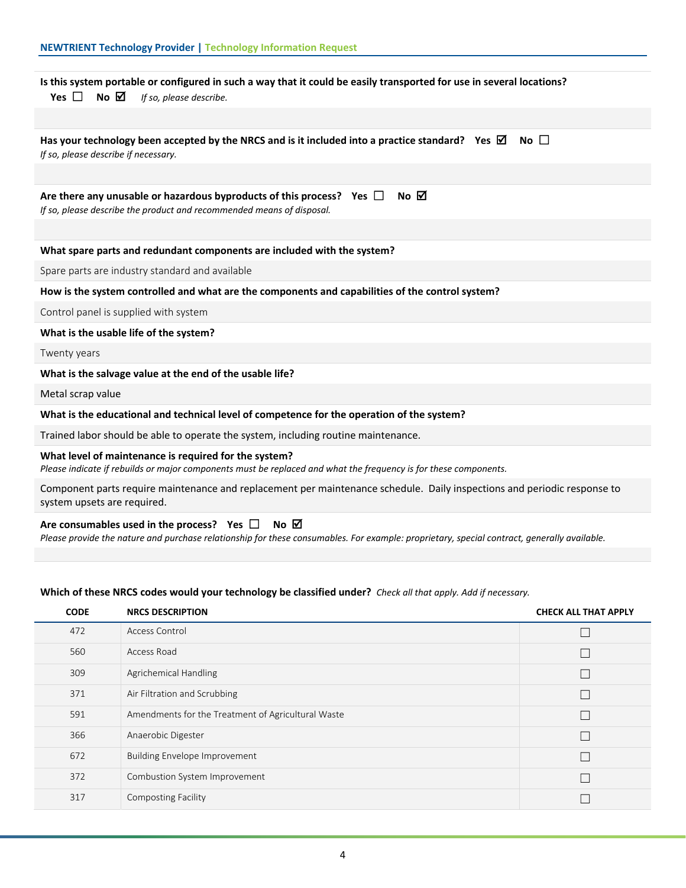| Is this system portable or configured in such a way that it could be easily transported for use in several locations?<br>No $\boxtimes$<br>Yes $\Box$<br>If so, please describe. |
|----------------------------------------------------------------------------------------------------------------------------------------------------------------------------------|
|                                                                                                                                                                                  |
| Has your technology been accepted by the NRCS and is it included into a practice standard? Yes $\boxtimes$<br>No $\Box$<br>If so, please describe if necessary.                  |
|                                                                                                                                                                                  |
| No $\nabla$<br>Are there any unusable or hazardous byproducts of this process? Yes $\Box$<br>If so, please describe the product and recommended means of disposal.               |
|                                                                                                                                                                                  |
| What spare parts and redundant components are included with the system?                                                                                                          |
| Spare parts are industry standard and available                                                                                                                                  |
| How is the system controlled and what are the components and capabilities of the control system?                                                                                 |
| Control panel is supplied with system                                                                                                                                            |
| What is the usable life of the system?                                                                                                                                           |
| Twenty years                                                                                                                                                                     |
| What is the salvage value at the end of the usable life?                                                                                                                         |
| Metal scrap value                                                                                                                                                                |
| What is the educational and technical level of competence for the operation of the system?                                                                                       |
| Trained labor should be able to operate the system, including routine maintenance.                                                                                               |
| What level of maintenance is required for the system?<br>Please indicate if rebuilds or major components must be replaced and what the frequency is for these components.        |
| Component parts require maintenance and replacement per maintenance schedule. Daily inspections and periodic response to<br>system upsets are required.                          |
| No $\boxtimes$<br>Are consumables used in the process? Yes $\Box$                                                                                                                |

*Please provide the nature and purchase relationship for these consumables. For example: proprietary, special contract, generally available.*

# Which of these NRCS codes would your technology be classified under? Check all that apply. Add if necessary.

| <b>CODE</b> | <b>NRCS DESCRIPTION</b>                            | <b>CHECK ALL THAT APPLY</b> |
|-------------|----------------------------------------------------|-----------------------------|
| 472         | Access Control                                     |                             |
| 560         | Access Road                                        |                             |
| 309         | Agrichemical Handling                              |                             |
| 371         | Air Filtration and Scrubbing                       |                             |
| 591         | Amendments for the Treatment of Agricultural Waste | Г                           |
| 366         | Anaerobic Digester                                 | Г                           |
| 672         | Building Envelope Improvement                      |                             |
| 372         | Combustion System Improvement                      |                             |
| 317         | <b>Composting Facility</b>                         |                             |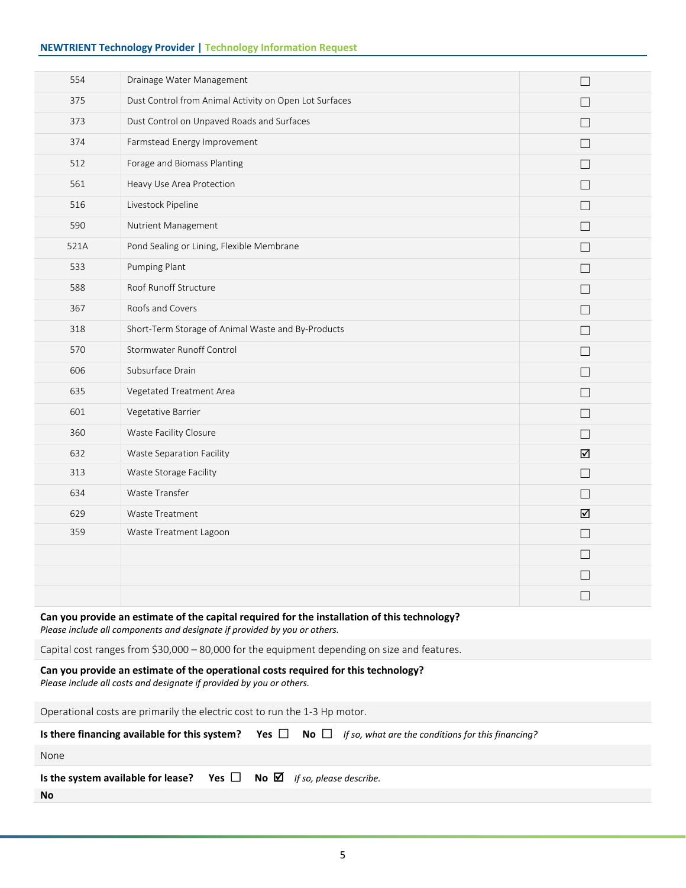### **NEWTRIENT Technology Provider | Technology Information Request**

| 554  | Drainage Water Management                                                                    | П        |
|------|----------------------------------------------------------------------------------------------|----------|
| 375  | Dust Control from Animal Activity on Open Lot Surfaces                                       | П        |
| 373  | Dust Control on Unpaved Roads and Surfaces                                                   | П        |
| 374  | Farmstead Energy Improvement                                                                 | $\Box$   |
| 512  | Forage and Biomass Planting                                                                  | П        |
| 561  | Heavy Use Area Protection                                                                    | $\Box$   |
| 516  | Livestock Pipeline                                                                           | П        |
| 590  | Nutrient Management                                                                          | П        |
| 521A | Pond Sealing or Lining, Flexible Membrane                                                    | $\Box$   |
| 533  | Pumping Plant                                                                                | $\Box$   |
| 588  | Roof Runoff Structure                                                                        | $\Box$   |
| 367  | Roofs and Covers                                                                             | П        |
| 318  | Short-Term Storage of Animal Waste and By-Products                                           | $\Box$   |
| 570  | <b>Stormwater Runoff Control</b>                                                             | $\Box$   |
| 606  | Subsurface Drain                                                                             | П        |
| 635  | Vegetated Treatment Area                                                                     | П        |
| 601  | Vegetative Barrier                                                                           | П        |
| 360  | Waste Facility Closure                                                                       | П        |
| 632  | Waste Separation Facility                                                                    | ☑        |
| 313  | Waste Storage Facility                                                                       | П        |
| 634  | Waste Transfer                                                                               | П        |
| 629  | Waste Treatment                                                                              | $\Delta$ |
| 359  | Waste Treatment Lagoon                                                                       | П        |
|      |                                                                                              | П        |
|      |                                                                                              | $\Box$   |
|      |                                                                                              | П        |
|      | Can you provide an estimate of the capital required for the installation of this technology? |          |

*Please include all components and designate if provided by you or others.*

Capital cost ranges from \$30,000 – 80,000 for the equipment depending on size and features.

**Can you provide an estimate of the operational costs required for this technology?**  *Please include all costs and designate if provided by you or others.*

Operational costs are primarily the electric cost to run the 1‐3 Hp motor.

|                                                                                 | Is there financing available for this system? Yes $\Box$ No $\Box$ If so, what are the conditions for this financing? |  |
|---------------------------------------------------------------------------------|-----------------------------------------------------------------------------------------------------------------------|--|
| None                                                                            |                                                                                                                       |  |
| Is the system available for lease? Yes $\Box$ No $\Box$ If so, please describe. |                                                                                                                       |  |
| <b>No</b>                                                                       |                                                                                                                       |  |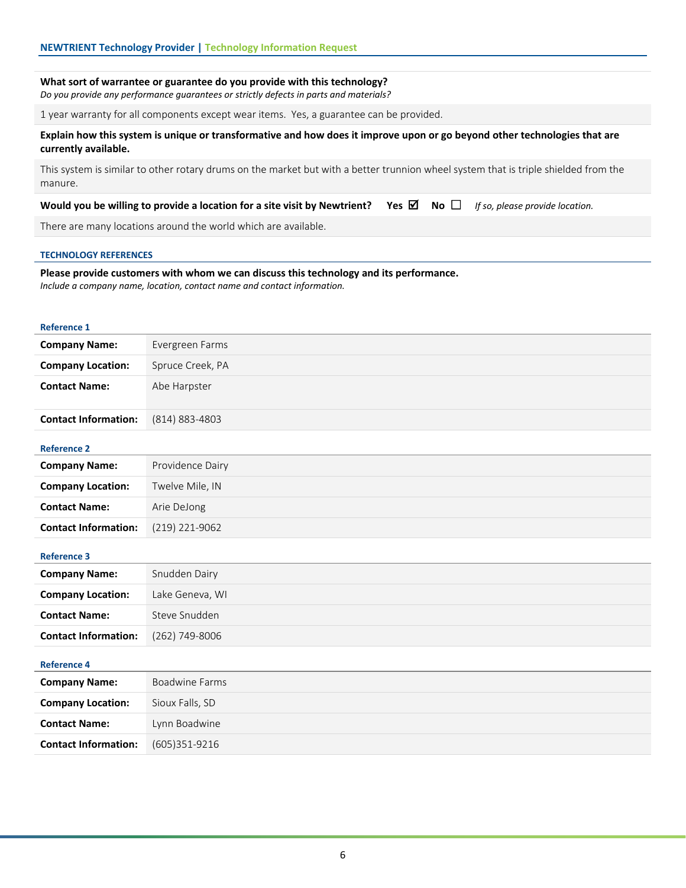### **What sort of warrantee or guarantee do you provide with this technology?**

*Do you provide any performance guarantees or strictly defects in parts and materials?*

1 year warranty for all components except wear items. Yes, a guarantee can be provided.

### **Explain how this system is unique or transformative and how does it improve upon or go beyond other technologies that are currently available.**

This system is similar to other rotary drums on the market but with a better trunnion wheel system that is triple shielded from the manure.

## **Would you be willing to provide a location for a site visit by Newtrient? Yes ⊠ No □ If so, please provide location.**

There are many locations around the world which are available.

### **TECHNOLOGY REFERENCES**

**Please provide customers with whom we can discuss this technology and its performance.**  *Include a company name, location, contact name and contact information.* 

### **Reference 1**

| <b>Company Name:</b>        | Evergreen Farms  |
|-----------------------------|------------------|
| <b>Company Location:</b>    | Spruce Creek, PA |
| <b>Contact Name:</b>        | Abe Harpster     |
| <b>Contact Information:</b> | (814) 883-4803   |
|                             |                  |

### **Reference 2**

| <b>Company Name:</b>        | Providence Dairy |
|-----------------------------|------------------|
| <b>Company Location:</b>    | Twelve Mile, IN  |
| <b>Contact Name:</b>        | Arie DeJong      |
| <b>Contact Information:</b> | (219) 221-9062   |

#### **Reference 3**

| <b>Company Name:</b>        | Snudden Dairy   |
|-----------------------------|-----------------|
| <b>Company Location:</b>    | Lake Geneva, WI |
| <b>Contact Name:</b>        | Steve Snudden   |
| <b>Contact Information:</b> | (262) 749-8006  |

#### **Reference 4**

| <b>Company Name:</b>        | Boadwine Farms  |
|-----------------------------|-----------------|
| <b>Company Location:</b>    | Sioux Falls, SD |
| <b>Contact Name:</b>        | Lynn Boadwine   |
| <b>Contact Information:</b> | (605)351-9216   |